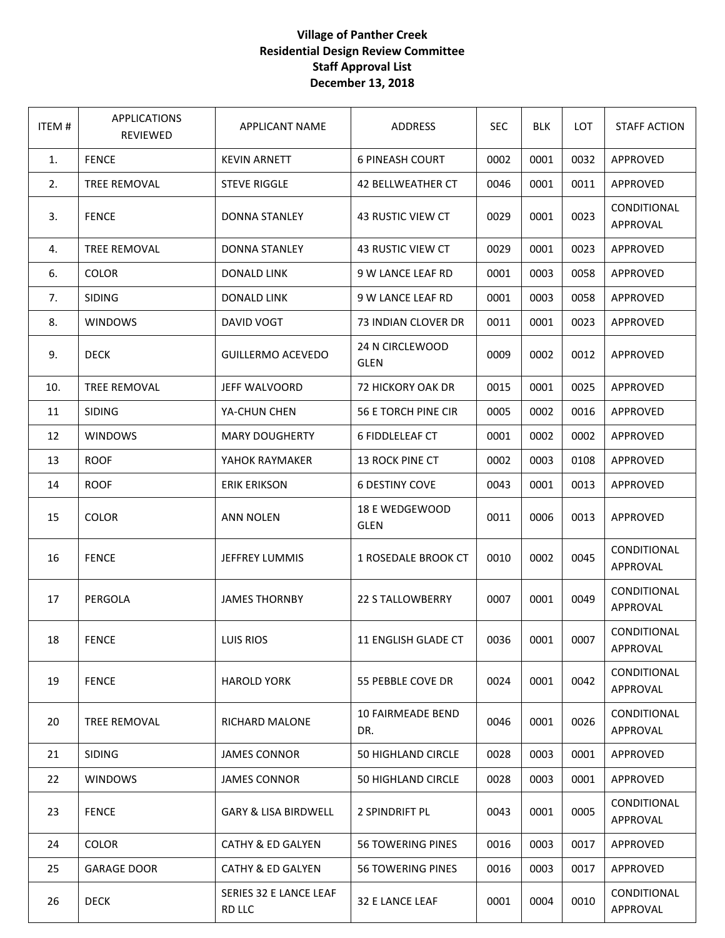## **Village of Panther Creek Residential Design Review Committee Staff Approval List December 13, 2018**

| <b>ITEM#</b> | <b>APPLICATIONS</b><br>REVIEWED | <b>APPLICANT NAME</b>            | ADDRESS                         | <b>SEC</b> | <b>BLK</b> | LOT  | <b>STAFF ACTION</b>            |
|--------------|---------------------------------|----------------------------------|---------------------------------|------------|------------|------|--------------------------------|
| 1.           | <b>FENCE</b>                    | <b>KEVIN ARNETT</b>              | <b>6 PINEASH COURT</b>          | 0002       | 0001       | 0032 | APPROVED                       |
| 2.           | TREE REMOVAL                    | <b>STEVE RIGGLE</b>              | <b>42 BELLWEATHER CT</b>        | 0046       | 0001       | 0011 | APPROVED                       |
| 3.           | <b>FENCE</b>                    | <b>DONNA STANLEY</b>             | 43 RUSTIC VIEW CT               | 0029       | 0001       | 0023 | CONDITIONAL<br>APPROVAL        |
| 4.           | <b>TREE REMOVAL</b>             | <b>DONNA STANLEY</b>             | 43 RUSTIC VIEW CT               | 0029       | 0001       | 0023 | <b>APPROVED</b>                |
| 6.           | <b>COLOR</b>                    | <b>DONALD LINK</b>               | 9 W LANCE LEAF RD               | 0001       | 0003       | 0058 | APPROVED                       |
| 7.           | <b>SIDING</b>                   | <b>DONALD LINK</b>               | 9 W LANCE LEAF RD               | 0001       | 0003       | 0058 | APPROVED                       |
| 8.           | <b>WINDOWS</b>                  | DAVID VOGT                       | 73 INDIAN CLOVER DR             | 0011       | 0001       | 0023 | APPROVED                       |
| 9.           | <b>DECK</b>                     | <b>GUILLERMO ACEVEDO</b>         | 24 N CIRCLEWOOD<br><b>GLEN</b>  | 0009       | 0002       | 0012 | APPROVED                       |
| 10.          | <b>TREE REMOVAL</b>             | JEFF WALVOORD                    | 72 HICKORY OAK DR               | 0015       | 0001       | 0025 | APPROVED                       |
| 11           | <b>SIDING</b>                   | YA-CHUN CHEN                     | 56 E TORCH PINE CIR             | 0005       | 0002       | 0016 | <b>APPROVED</b>                |
| 12           | <b>WINDOWS</b>                  | <b>MARY DOUGHERTY</b>            | <b>6 FIDDLELEAF CT</b>          | 0001       | 0002       | 0002 | APPROVED                       |
| 13           | <b>ROOF</b>                     | YAHOK RAYMAKER                   | 13 ROCK PINE CT                 | 0002       | 0003       | 0108 | APPROVED                       |
| 14           | <b>ROOF</b>                     | <b>ERIK ERIKSON</b>              | <b>6 DESTINY COVE</b>           | 0043       | 0001       | 0013 | APPROVED                       |
| 15           | <b>COLOR</b>                    | <b>ANN NOLEN</b>                 | 18 E WEDGEWOOD<br><b>GLEN</b>   | 0011       | 0006       | 0013 | APPROVED                       |
| 16           | <b>FENCE</b>                    | JEFFREY LUMMIS                   | 1 ROSEDALE BROOK CT             | 0010       | 0002       | 0045 | CONDITIONAL<br><b>APPROVAL</b> |
| 17           | PERGOLA                         | <b>JAMES THORNBY</b>             | <b>22 S TALLOWBERRY</b>         | 0007       | 0001       | 0049 | CONDITIONAL<br>APPROVAL        |
| 18           | <b>FENCE</b>                    | LUIS RIOS                        | 11 ENGLISH GLADE CT             | 0036       | 0001       | 0007 | CONDITIONAL<br>APPROVAL        |
| 19           | <b>FENCE</b>                    | <b>HAROLD YORK</b>               | 55 PEBBLE COVE DR               | 0024       | 0001       | 0042 | CONDITIONAL<br>APPROVAL        |
| 20           | <b>TREE REMOVAL</b>             | RICHARD MALONE                   | <b>10 FAIRMEADE BEND</b><br>DR. | 0046       | 0001       | 0026 | CONDITIONAL<br>APPROVAL        |
| 21           | <b>SIDING</b>                   | <b>JAMES CONNOR</b>              | 50 HIGHLAND CIRCLE              | 0028       | 0003       | 0001 | APPROVED                       |
| 22           | <b>WINDOWS</b>                  | <b>JAMES CONNOR</b>              | 50 HIGHLAND CIRCLE              | 0028       | 0003       | 0001 | APPROVED                       |
| 23           | <b>FENCE</b>                    | GARY & LISA BIRDWELL             | 2 SPINDRIFT PL                  | 0043       | 0001       | 0005 | CONDITIONAL<br>APPROVAL        |
| 24           | COLOR                           | <b>CATHY &amp; ED GALYEN</b>     | <b>56 TOWERING PINES</b>        | 0016       | 0003       | 0017 | APPROVED                       |
| 25           | <b>GARAGE DOOR</b>              | <b>CATHY &amp; ED GALYEN</b>     | <b>56 TOWERING PINES</b>        | 0016       | 0003       | 0017 | APPROVED                       |
| 26           | <b>DECK</b>                     | SERIES 32 E LANCE LEAF<br>RD LLC | 32 E LANCE LEAF                 | 0001       | 0004       | 0010 | CONDITIONAL<br>APPROVAL        |